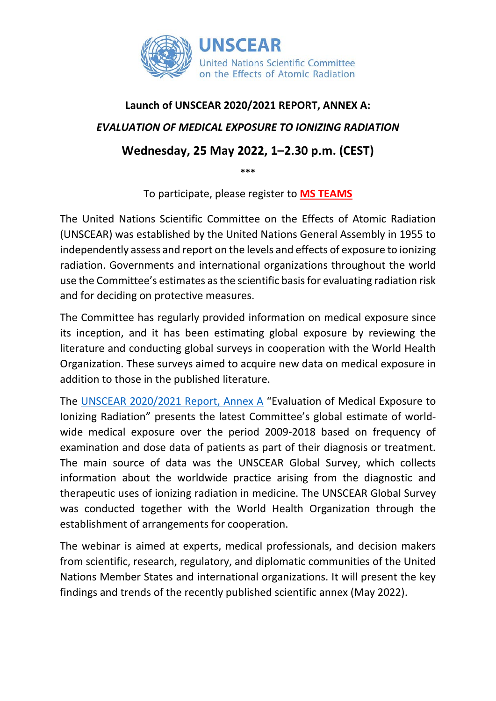

# **Launch of UNSCEAR 2020/2021 REPORT, ANNEX A:** *EVALUATION OF MEDICAL EXPOSURE TO IONIZING RADIATION* **Wednesday, 25 May 2022, 1–2.30 p.m. (CEST) \*\*\***

To participate, please register to **MS [TEAMS](https://teams.microsoft.com/registration/2zWeD09UYE-9zF6kFubccA,9mp6o3Ifhki01CqMEeCC-A,6nRu3fSRA0C9vMnt--F-Ww,Za7VAaJ3p0-n_j5Rze4ZWQ,C4EDYhhT5EGnbkDo6WHYeg,FjMjpz0tPU-BxRCCYpqyWQ?mode=read&tenantId=0f9e35db-544f-4f60-bdcc-5ea416e6dc70)**

The United Nations Scientific Committee on the Effects of Atomic Radiation (UNSCEAR) was established by the United Nations General Assembly in 1955 to independently assess and report on the levels and effects of exposure to ionizing radiation. Governments and international organizations throughout the world use the Committee's estimates as the scientific basis for evaluating radiation risk and for deciding on protective measures.

The Committee has regularly provided information on medical exposure since its inception, and it has been estimating global exposure by reviewing the literature and conducting global surveys in cooperation with the World Health Organization. These surveys aimed to acquire new data on medical exposure in addition to those in the published literature.

The [UNSCEAR 2020/2021 Report, Annex A](https://www.unscear.org/unscear/en/publications/2020_2021_1.html) "Evaluation of Medical Exposure to Ionizing Radiation" presents the latest Committee's global estimate of worldwide medical exposure over the period 2009-2018 based on frequency of examination and dose data of patients as part of their diagnosis or treatment. The main source of data was the UNSCEAR Global Survey, which collects information about the worldwide practice arising from the diagnostic and therapeutic uses of ionizing radiation in medicine. The UNSCEAR Global Survey was conducted together with the World Health Organization through the establishment of arrangements for cooperation.

The webinar is aimed at experts, medical professionals, and decision makers from scientific, research, regulatory, and diplomatic communities of the United Nations Member States and international organizations. It will present the key findings and trends of the recently published scientific annex (May 2022).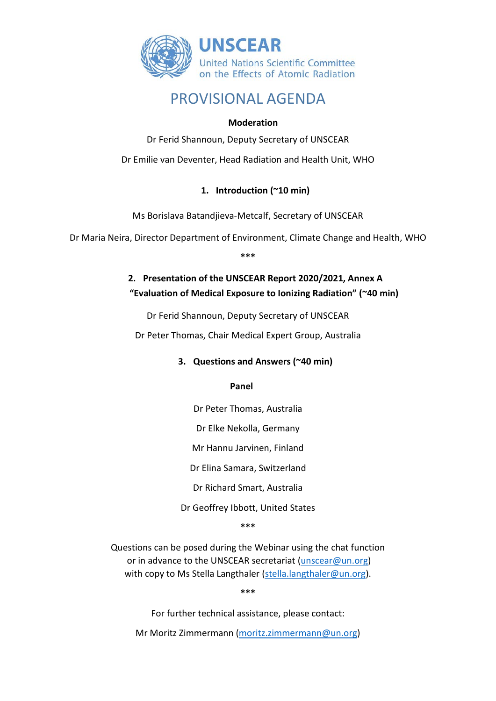

### PROVISIONAL AGENDA

#### **Moderation**

Dr Ferid Shannoun, Deputy Secretary of UNSCEAR

Dr Emilie van Deventer, Head Radiation and Health Unit, WHO

#### **1. Introduction (~10 min)**

Ms Borislava Batandjieva-Metcalf, Secretary of UNSCEAR

Dr Maria Neira, Director Department of Environment, Climate Change and Health, WHO

**\*\*\***

### **2. Presentation of the UNSCEAR Report 2020/2021, Annex A "Evaluation of Medical Exposure to Ionizing Radiation" (~40 min)**

Dr Ferid Shannoun, Deputy Secretary of UNSCEAR

Dr Peter Thomas, Chair Medical Expert Group, Australia

#### **3. Questions and Answers (~40 min)**

 **Panel**

Dr Peter Thomas, Australia

Dr Elke Nekolla, Germany

Mr Hannu Jarvinen, Finland

Dr Elina Samara, Switzerland

Dr Richard Smart, Australia

Dr Geoffrey Ibbott, United States

**\*\*\***

Questions can be posed during the Webinar using the chat function or in advance to the UNSCEAR secretariat [\(unscear@un.org\)](mailto:unscear@un.org) with copy to Ms Stella Langthaler [\(stella.langthaler@un.org\)](mailto:stella.langthaler@un.org).

**\*\*\***

For further technical assistance, please contact:

Mr Moritz Zimmermann [\(moritz.zimmermann@un.org\)](mailto:moritz.zimmermann@un.org)